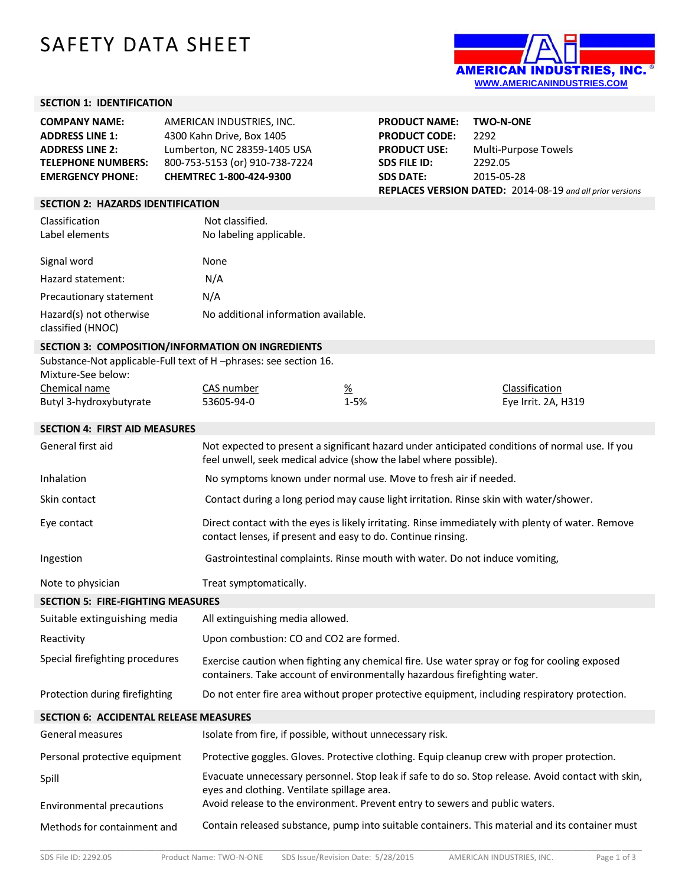# SAFETY DATA SHEET



### **SECTION 1: IDENTIFICATION**

| <b>COMPANY NAME:</b><br><b>ADDRESS LINE 1:</b><br><b>ADDRESS LINE 2:</b><br><b>TELEPHONE NUMBERS:</b><br><b>EMERGENCY PHONE:</b> | AMERICAN INDUSTRIES, INC.<br>4300 Kahn Drive, Box 1405<br>Lumberton, NC 28359-1405 USA<br>800-753-5153 (or) 910-738-7224<br>CHEMTREC 1-800-424-9300 |                                                                                                                                                                           | <b>PRODUCT NAME:</b><br><b>PRODUCT CODE:</b><br><b>PRODUCT USE:</b><br><b>SDS FILE ID:</b><br><b>SDS DATE:</b> | <b>TWO-N-ONE</b><br>2292<br>Multi-Purpose Towels<br>2292.05<br>2015-05-28<br>REPLACES VERSION DATED: 2014-08-19 and all prior versions |                                                                                                    |
|----------------------------------------------------------------------------------------------------------------------------------|-----------------------------------------------------------------------------------------------------------------------------------------------------|---------------------------------------------------------------------------------------------------------------------------------------------------------------------------|----------------------------------------------------------------------------------------------------------------|----------------------------------------------------------------------------------------------------------------------------------------|----------------------------------------------------------------------------------------------------|
| <b>SECTION 2: HAZARDS IDENTIFICATION</b>                                                                                         |                                                                                                                                                     |                                                                                                                                                                           |                                                                                                                |                                                                                                                                        |                                                                                                    |
| Classification<br>Label elements                                                                                                 |                                                                                                                                                     | Not classified.<br>No labeling applicable.                                                                                                                                |                                                                                                                |                                                                                                                                        |                                                                                                    |
| Signal word                                                                                                                      |                                                                                                                                                     | None                                                                                                                                                                      |                                                                                                                |                                                                                                                                        |                                                                                                    |
| Hazard statement:                                                                                                                |                                                                                                                                                     | N/A                                                                                                                                                                       |                                                                                                                |                                                                                                                                        |                                                                                                    |
| Precautionary statement                                                                                                          |                                                                                                                                                     | N/A                                                                                                                                                                       |                                                                                                                |                                                                                                                                        |                                                                                                    |
| Hazard(s) not otherwise<br>classified (HNOC)                                                                                     |                                                                                                                                                     | No additional information available.                                                                                                                                      |                                                                                                                |                                                                                                                                        |                                                                                                    |
|                                                                                                                                  |                                                                                                                                                     | SECTION 3: COMPOSITION/INFORMATION ON INGREDIENTS                                                                                                                         |                                                                                                                |                                                                                                                                        |                                                                                                    |
| Mixture-See below:                                                                                                               |                                                                                                                                                     | Substance-Not applicable-Full text of H-phrases: see section 16.                                                                                                          |                                                                                                                |                                                                                                                                        |                                                                                                    |
| Chemical name                                                                                                                    |                                                                                                                                                     | CAS number                                                                                                                                                                | $\frac{\%}{\%}$                                                                                                |                                                                                                                                        | Classification                                                                                     |
| Butyl 3-hydroxybutyrate                                                                                                          |                                                                                                                                                     | 53605-94-0                                                                                                                                                                | 1-5%                                                                                                           |                                                                                                                                        | Eye Irrit. 2A, H319                                                                                |
| <b>SECTION 4: FIRST AID MEASURES</b>                                                                                             |                                                                                                                                                     |                                                                                                                                                                           |                                                                                                                |                                                                                                                                        |                                                                                                    |
| General first aid                                                                                                                |                                                                                                                                                     | feel unwell, seek medical advice (show the label where possible).                                                                                                         |                                                                                                                |                                                                                                                                        | Not expected to present a significant hazard under anticipated conditions of normal use. If you    |
| Inhalation                                                                                                                       |                                                                                                                                                     | No symptoms known under normal use. Move to fresh air if needed.                                                                                                          |                                                                                                                |                                                                                                                                        |                                                                                                    |
| Skin contact                                                                                                                     |                                                                                                                                                     | Contact during a long period may cause light irritation. Rinse skin with water/shower.                                                                                    |                                                                                                                |                                                                                                                                        |                                                                                                    |
| Eye contact                                                                                                                      |                                                                                                                                                     | contact lenses, if present and easy to do. Continue rinsing.                                                                                                              |                                                                                                                |                                                                                                                                        | Direct contact with the eyes is likely irritating. Rinse immediately with plenty of water. Remove  |
| Ingestion                                                                                                                        |                                                                                                                                                     | Gastrointestinal complaints. Rinse mouth with water. Do not induce vomiting,                                                                                              |                                                                                                                |                                                                                                                                        |                                                                                                    |
| Note to physician                                                                                                                |                                                                                                                                                     | Treat symptomatically.                                                                                                                                                    |                                                                                                                |                                                                                                                                        |                                                                                                    |
| <b>SECTION 5: FIRE-FIGHTING MEASURES</b>                                                                                         |                                                                                                                                                     |                                                                                                                                                                           |                                                                                                                |                                                                                                                                        |                                                                                                    |
| Suitable extinguishing media                                                                                                     |                                                                                                                                                     | All extinguishing media allowed.                                                                                                                                          |                                                                                                                |                                                                                                                                        |                                                                                                    |
| Reactivity                                                                                                                       |                                                                                                                                                     | Upon combustion: CO and CO2 are formed.                                                                                                                                   |                                                                                                                |                                                                                                                                        |                                                                                                    |
| Special firefighting procedures                                                                                                  |                                                                                                                                                     | Exercise caution when fighting any chemical fire. Use water spray or fog for cooling exposed<br>containers. Take account of environmentally hazardous firefighting water. |                                                                                                                |                                                                                                                                        |                                                                                                    |
| Protection during firefighting                                                                                                   |                                                                                                                                                     |                                                                                                                                                                           |                                                                                                                |                                                                                                                                        | Do not enter fire area without proper protective equipment, including respiratory protection.      |
| <b>SECTION 6: ACCIDENTAL RELEASE MEASURES</b>                                                                                    |                                                                                                                                                     |                                                                                                                                                                           |                                                                                                                |                                                                                                                                        |                                                                                                    |
| General measures                                                                                                                 |                                                                                                                                                     | Isolate from fire, if possible, without unnecessary risk.                                                                                                                 |                                                                                                                |                                                                                                                                        |                                                                                                    |
| Personal protective equipment                                                                                                    |                                                                                                                                                     |                                                                                                                                                                           |                                                                                                                |                                                                                                                                        | Protective goggles. Gloves. Protective clothing. Equip cleanup crew with proper protection.        |
| Spill                                                                                                                            |                                                                                                                                                     | eyes and clothing. Ventilate spillage area.                                                                                                                               |                                                                                                                |                                                                                                                                        | Evacuate unnecessary personnel. Stop leak if safe to do so. Stop release. Avoid contact with skin, |
| Environmental precautions                                                                                                        |                                                                                                                                                     | Avoid release to the environment. Prevent entry to sewers and public waters.                                                                                              |                                                                                                                |                                                                                                                                        |                                                                                                    |
| Methods for containment and                                                                                                      |                                                                                                                                                     |                                                                                                                                                                           |                                                                                                                |                                                                                                                                        | Contain released substance, pump into suitable containers. This material and its container must    |

\_\_\_\_\_\_\_\_\_\_\_\_\_\_\_\_\_\_\_\_\_\_\_\_\_\_\_\_\_\_\_\_\_\_\_\_\_\_\_\_\_\_\_\_\_\_\_\_\_\_\_\_\_\_\_\_\_\_\_\_\_\_\_\_\_\_\_\_\_\_\_\_\_\_\_\_\_\_\_\_\_\_\_\_\_\_\_\_\_\_\_\_\_\_\_\_\_\_\_\_\_\_\_\_\_\_\_\_\_\_\_\_\_\_\_\_\_\_\_\_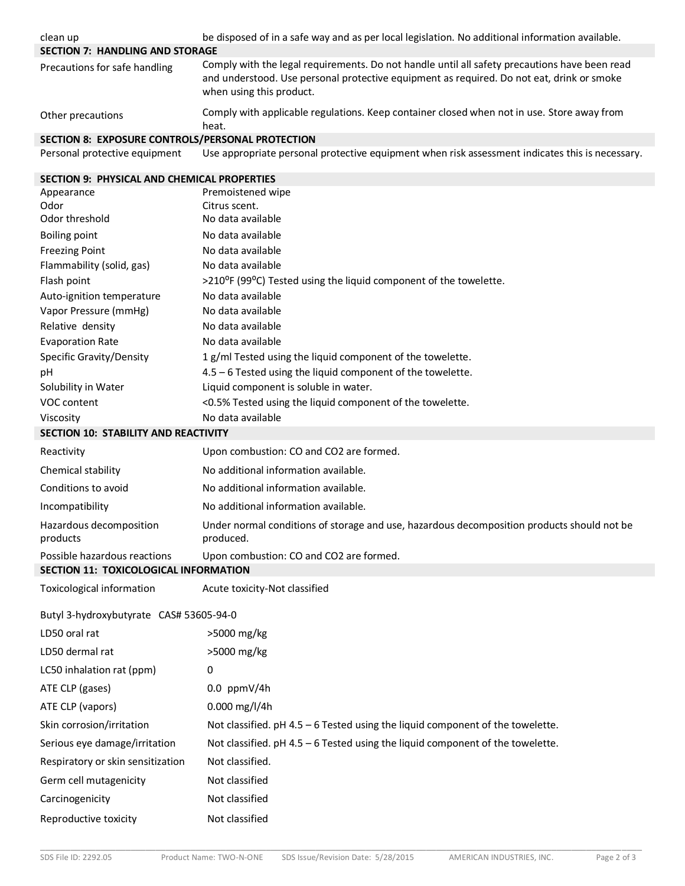| clean up                                         | be disposed of in a safe way and as per local legislation. No additional information available.                                                                                                                        |
|--------------------------------------------------|------------------------------------------------------------------------------------------------------------------------------------------------------------------------------------------------------------------------|
| <b>SECTION 7: HANDLING AND STORAGE</b>           |                                                                                                                                                                                                                        |
| Precautions for safe handling                    | Comply with the legal requirements. Do not handle until all safety precautions have been read<br>and understood. Use personal protective equipment as required. Do not eat, drink or smoke<br>when using this product. |
| Other precautions                                | Comply with applicable regulations. Keep container closed when not in use. Store away from<br>heat.                                                                                                                    |
| SECTION 8: EXPOSURE CONTROLS/PERSONAL PROTECTION |                                                                                                                                                                                                                        |
| Personal protective equipment                    | Use appropriate personal protective equipment when risk assessment indicates this is necessary.                                                                                                                        |
| SECTION 9: PHYSICAL AND CHEMICAL PROPERTIES      |                                                                                                                                                                                                                        |
| Appearance                                       | Premoistened wipe                                                                                                                                                                                                      |
| Odor                                             | Citrus scent.                                                                                                                                                                                                          |
| Odor threshold                                   | No data available                                                                                                                                                                                                      |
| <b>Boiling point</b>                             | No data available                                                                                                                                                                                                      |
| <b>Freezing Point</b>                            | No data available                                                                                                                                                                                                      |
| Flammability (solid, gas)                        | No data available                                                                                                                                                                                                      |
| Flash point<br>Auto-ignition temperature         | >210°F (99°C) Tested using the liquid component of the towelette.<br>No data available                                                                                                                                 |
| Vapor Pressure (mmHg)                            | No data available                                                                                                                                                                                                      |
| Relative density                                 | No data available                                                                                                                                                                                                      |
| <b>Evaporation Rate</b>                          | No data available                                                                                                                                                                                                      |
| Specific Gravity/Density                         | 1 g/ml Tested using the liquid component of the towelette.                                                                                                                                                             |
| рH                                               | 4.5 - 6 Tested using the liquid component of the towelette.                                                                                                                                                            |
| Solubility in Water                              | Liquid component is soluble in water.                                                                                                                                                                                  |
| VOC content                                      | <0.5% Tested using the liquid component of the towelette.                                                                                                                                                              |
| Viscosity                                        | No data available                                                                                                                                                                                                      |
| SECTION 10: STABILITY AND REACTIVITY             |                                                                                                                                                                                                                        |
| Reactivity                                       | Upon combustion: CO and CO2 are formed.                                                                                                                                                                                |
| Chemical stability                               | No additional information available.                                                                                                                                                                                   |
| Conditions to avoid                              | No additional information available.                                                                                                                                                                                   |
| Incompatibility                                  | No additional information available.                                                                                                                                                                                   |
| Hazardous decomposition<br>products              | Under normal conditions of storage and use, hazardous decomposition products should not be<br>produced.                                                                                                                |
| Possible hazardous reactions                     | Upon combustion: CO and CO2 are formed.                                                                                                                                                                                |
| SECTION 11: TOXICOLOGICAL INFORMATION            |                                                                                                                                                                                                                        |
| Toxicological information                        | Acute toxicity-Not classified                                                                                                                                                                                          |
| Butyl 3-hydroxybutyrate CAS# 53605-94-0          |                                                                                                                                                                                                                        |
| LD50 oral rat                                    | >5000 mg/kg                                                                                                                                                                                                            |
| LD50 dermal rat                                  | >5000 mg/kg                                                                                                                                                                                                            |
| LC50 inhalation rat (ppm)                        | 0                                                                                                                                                                                                                      |
| ATE CLP (gases)                                  | $0.0$ ppmV/4h                                                                                                                                                                                                          |
| ATE CLP (vapors)                                 | 0.000 mg/l/4h                                                                                                                                                                                                          |
| Skin corrosion/irritation                        | Not classified. $pH 4.5 - 6$ Tested using the liquid component of the towelette.                                                                                                                                       |
| Serious eye damage/irritation                    | Not classified. $pH 4.5 - 6$ Tested using the liquid component of the towelette.                                                                                                                                       |
| Respiratory or skin sensitization                | Not classified.                                                                                                                                                                                                        |
| Germ cell mutagenicity                           | Not classified                                                                                                                                                                                                         |
| Carcinogenicity                                  | Not classified                                                                                                                                                                                                         |
| Reproductive toxicity                            | Not classified                                                                                                                                                                                                         |